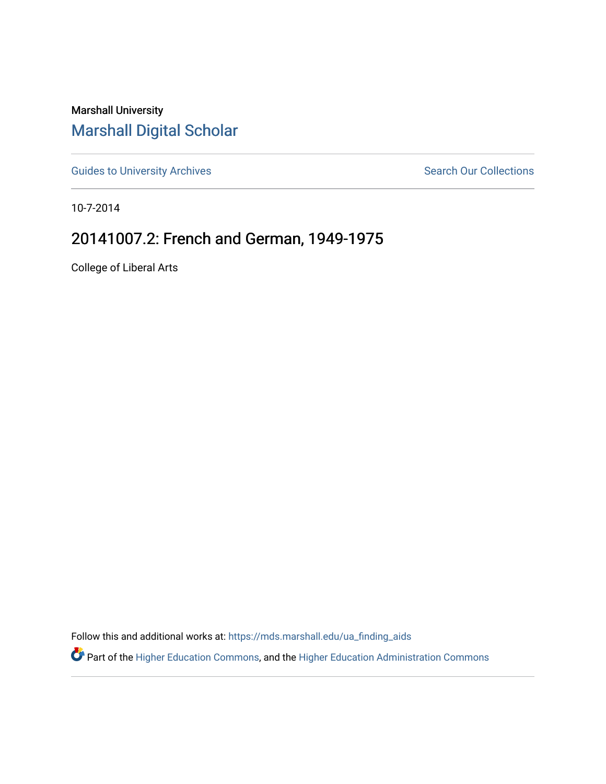Marshall University [Marshall Digital Scholar](https://mds.marshall.edu/)

[Guides to University Archives](https://mds.marshall.edu/ua_finding_aids) **Search Our Collections** Search Our Collections

10-7-2014

## 20141007.2: French and German, 1949-1975

College of Liberal Arts

Follow this and additional works at: [https://mds.marshall.edu/ua\\_finding\\_aids](https://mds.marshall.edu/ua_finding_aids?utm_source=mds.marshall.edu%2Fua_finding_aids%2F51&utm_medium=PDF&utm_campaign=PDFCoverPages) 

Part of the [Higher Education Commons,](http://network.bepress.com/hgg/discipline/1245?utm_source=mds.marshall.edu%2Fua_finding_aids%2F51&utm_medium=PDF&utm_campaign=PDFCoverPages) and the [Higher Education Administration Commons](http://network.bepress.com/hgg/discipline/791?utm_source=mds.marshall.edu%2Fua_finding_aids%2F51&utm_medium=PDF&utm_campaign=PDFCoverPages)